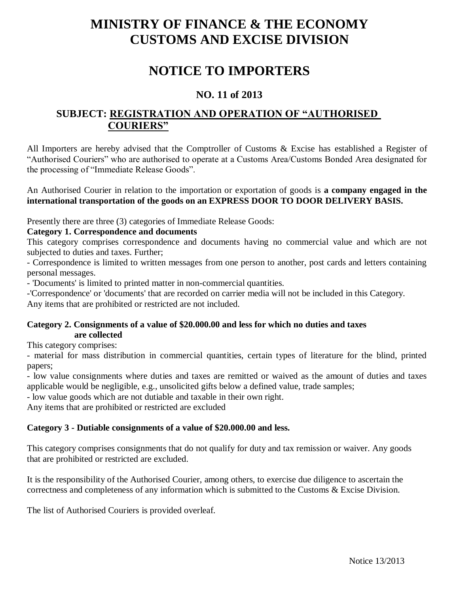# **MINISTRY OF FINANCE & THE ECONOMY CUSTOMS AND EXCISE DIVISION**

## **NOTICE TO IMPORTERS**

## **NO. 11 of 2013**

## **SUBJECT: REGISTRATION AND OPERATION OF "AUTHORISED COURIERS"**

All Importers are hereby advised that the Comptroller of Customs & Excise has established a Register of "Authorised Couriers" who are authorised to operate at a Customs Area/Customs Bonded Area designated for the processing of "Immediate Release Goods".

#### An Authorised Courier in relation to the importation or exportation of goods is **a company engaged in the international transportation of the goods on an EXPRESS DOOR TO DOOR DELIVERY BASIS.**

Presently there are three (3) categories of Immediate Release Goods:

#### **Category 1. Correspondence and documents**

This category comprises correspondence and documents having no commercial value and which are not subjected to duties and taxes. Further;

- Correspondence is limited to written messages from one person to another, post cards and letters containing personal messages.

- 'Documents' is limited to printed matter in non-commercial quantities.

-'Correspondence' or 'documents' that are recorded on carrier media will not be included in this Category. Any items that are prohibited or restricted are not included.

#### **Category 2. Consignments of a value of \$20.000.00 and less for which no duties and taxes are collected**

This category comprises:

- material for mass distribution in commercial quantities, certain types of literature for the blind, printed papers;

- low value consignments where duties and taxes are remitted or waived as the amount of duties and taxes applicable would be negligible, e.g., unsolicited gifts below a defined value, trade samples;

- low value goods which are not dutiable and taxable in their own right.

Any items that are prohibited or restricted are excluded

#### **Category 3 - Dutiable consignments of a value of \$20.000.00 and less.**

This category comprises consignments that do not qualify for duty and tax remission or waiver. Any goods that are prohibited or restricted are excluded.

It is the responsibility of the Authorised Courier, among others, to exercise due diligence to ascertain the correctness and completeness of any information which is submitted to the Customs & Excise Division.

The list of Authorised Couriers is provided overleaf.